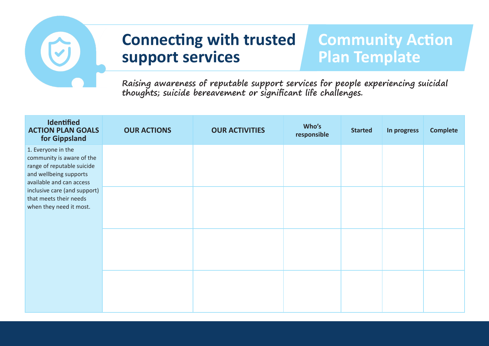

# **Connecting with trusted <sup>3</sup> support services**

## **Community Action Plan Template**

**Raising awareness of reputable support services for people experiencing suicidal thoughts; suicide bereavement or significant life challenges.**

| <b>Identified</b><br><b>ACTION PLAN GOALS</b><br>for Gippsland                                                                                                                                                           | <b>OUR ACTIONS</b> | <b>OUR ACTIVITIES</b> | Who's<br>responsible | <b>Started</b> | In progress | <b>Complete</b> |
|--------------------------------------------------------------------------------------------------------------------------------------------------------------------------------------------------------------------------|--------------------|-----------------------|----------------------|----------------|-------------|-----------------|
| 1. Everyone in the<br>community is aware of the<br>range of reputable suicide<br>and wellbeing supports<br>available and can access<br>inclusive care (and support)<br>that meets their needs<br>when they need it most. |                    |                       |                      |                |             |                 |
|                                                                                                                                                                                                                          |                    |                       |                      |                |             |                 |
|                                                                                                                                                                                                                          |                    |                       |                      |                |             |                 |
|                                                                                                                                                                                                                          |                    |                       |                      |                |             |                 |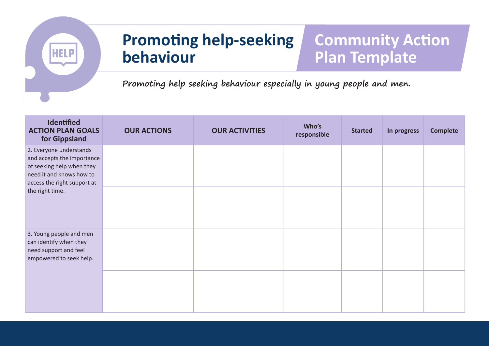

#### **4 Promoting help-seeking behaviour**

## **Community Action Plan Template**

**Promoting help seeking behaviour especially in young people and men.**

| Identified<br><b>ACTION PLAN GOALS</b><br>for Gippsland                                                                                                          | <b>OUR ACTIONS</b> | <b>OUR ACTIVITIES</b> | Who's<br>responsible | <b>Started</b> | In progress | <b>Complete</b> |
|------------------------------------------------------------------------------------------------------------------------------------------------------------------|--------------------|-----------------------|----------------------|----------------|-------------|-----------------|
| 2. Everyone understands<br>and accepts the importance<br>of seeking help when they<br>need it and knows how to<br>access the right support at<br>the right time. |                    |                       |                      |                |             |                 |
|                                                                                                                                                                  |                    |                       |                      |                |             |                 |
| 3. Young people and men<br>can identify when they<br>need support and feel<br>empowered to seek help.                                                            |                    |                       |                      |                |             |                 |
|                                                                                                                                                                  |                    |                       |                      |                |             |                 |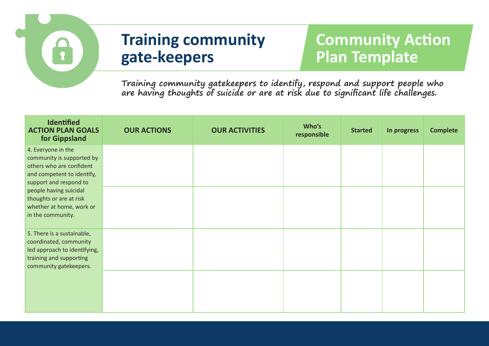

# **Community Action Plan Template**

**Training community gatekeepers to identify, respond and support people who are having thoughts of suicide or are at risk due to significant life challenges.** 

| Identified<br><b>ACTION PLAN GOALS</b><br>for Gippsland                                                                                                                                                                                   | <b>OUR ACTIONS</b> | <b>OUR ACTIVITIES</b> | Who's<br>responsible | <b>Started</b> | In progress | <b>Complete</b> |
|-------------------------------------------------------------------------------------------------------------------------------------------------------------------------------------------------------------------------------------------|--------------------|-----------------------|----------------------|----------------|-------------|-----------------|
| 4. Everyone in the<br>community is supported by<br>others who are confident<br>and competent to identify,<br>support and respond to<br>people having suicidal<br>thoughts or are at risk<br>whether at home, work or<br>in the community. |                    |                       |                      |                |             |                 |
|                                                                                                                                                                                                                                           |                    |                       |                      |                |             |                 |
| 5. There is a sustainable,<br>coordinated, community<br>led approach to identifying,<br>training and supporting<br>community gatekeepers.                                                                                                 |                    |                       |                      |                |             |                 |
|                                                                                                                                                                                                                                           |                    |                       |                      |                |             |                 |